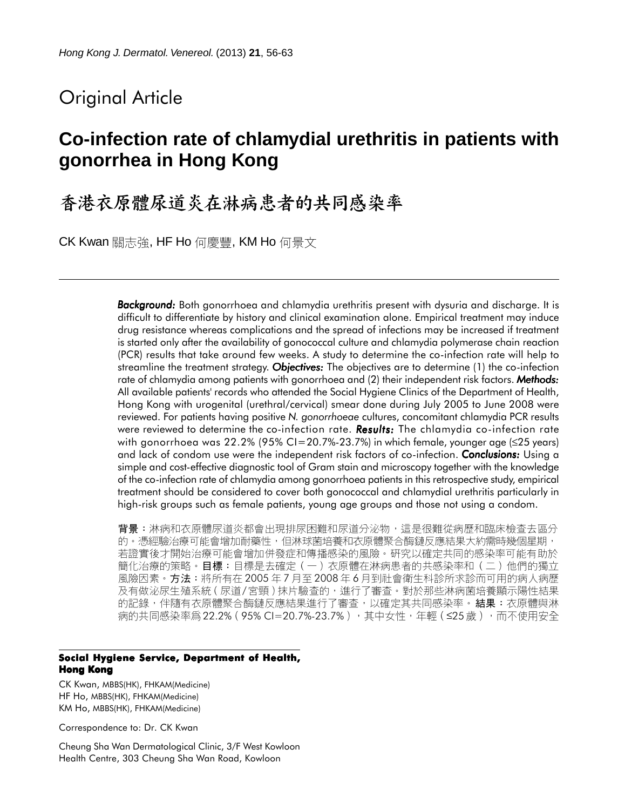# Original Article

# **Co-infection rate of chlamydial urethritis in patients with gonorrhea in Hong Kong**

香港衣原體尿道炎在淋病患者的共同感染率

CK Kwan 關志強, HF Ho 何慶豐, KM Ho 何景文

*Background: Background:* Both gonorrhoea and chlamydia urethritis present with dysuria and discharge. It is difficult to differentiate by history and clinical examination alone. Empirical treatment may induce drug resistance whereas complications and the spread of infections may be increased if treatment is started only after the availability of gonococcal culture and chlamydia polymerase chain reaction (PCR) results that take around few weeks. A study to determine the co-infection rate will help to streamline the treatment strategy. *Objectives: Objectives:* The objectives are to determine (1) the co-infection rate of chlamydia among patients with gonorrhoea and (2) their independent risk factors. *Methods: Methods:* All available patients' records who attended the Social Hygiene Clinics of the Department of Health, Hong Kong with urogenital (urethral/cervical) smear done during July 2005 to June 2008 were reviewed. For patients having positive *N. gonorrhoeae* cultures, concomitant chlamydia PCR results were reviewed to determine the co-infection rate. **Results:** The chlamydia co-infection rate with gonorrhoea was 22.2% (95% CI=20.7%-23.7%) in which female, younger age ( $\leq$ 25 years) and lack of condom use were the independent risk factors of co-infection. *Conclusions:* Using a simple and cost-effective diagnostic tool of Gram stain and microscopy together with the knowledge of the co-infection rate of chlamydia among gonorrhoea patients in this retrospective study, empirical treatment should be considered to cover both gonococcal and chlamydial urethritis particularly in high-risk groups such as female patients, young age groups and those not using a condom.

背景:淋病和衣原體尿道炎都會出現排尿困難和尿道分泌物,這是很難從病歷和臨床檢查去區分 的。憑經驗治療可能會增加耐藥性,但淋球菌培養和衣原體聚合酶鏈反應結果大約需時幾個星期, 若證實後才開始治療可能會增加併發症和傳播感染的風險。研究以確定共同的感染率可能有助於 簡化治療的策略。目標:目標是去確定(一)衣原體在淋病患者的共感染率和(二)他們的獨立 風險因素。方法:將所有在 2005 年 7 月至 2008 年 6 月到社會衛生科診所求診而可用的病人病歷 及有做泌尿生殖系統 ( 尿道/ 宮頸 ) 抹片驗查的,進行了審查。對於那些淋病菌培養顯示陽性結果 的記錄,伴隨有衣原體聚合酶鏈反應結果進行了審查,以確定其共同感染率。**結果:**衣原體與淋 病的共同感染率爲 22.2% ( 95% CI=20.7%-23.7% ) ,其中女性,年輕 ( ≤25 歲 ) ,而不使用安全

#### **Social Hygiene Service, Department of Health, Hong Kong**

CK Kwan, MBBS(HK), FHKAM(Medicine) HF Ho, MBBS(HK), FHKAM(Medicine) KM Ho, MBBS(HK), FHKAM(Medicine)

Correspondence to: Dr. CK Kwan

Cheung Sha Wan Dermatological Clinic, 3/F West Kowloon Health Centre, 303 Cheung Sha Wan Road, Kowloon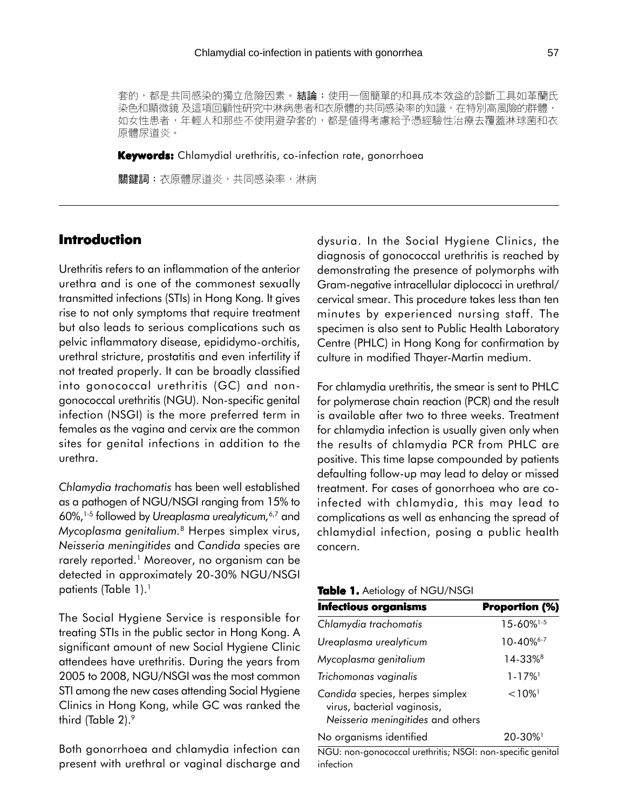套的,都是共同感染的獨立危險因素。結論:使用一個簡單的和具成本效益的診斷工具如革蘭氏 染色和顯微鏡 及這項回顧性研究中淋病患者和衣原體的共同感染率的知識,在特別高風險的群體 如女性患者,年輕人和那些不使用避孕套的,都是値得考慮給予憑經驗性治療去覆蓋淋球菌和衣 原體尿道炎。

**Keywords:** Chlamydial urethritis, co-infection rate, gonorrhoea

關鍵詞:衣原體尿道炎,共同感染率,淋病

# **Introduction**

Urethritis refers to an inflammation of the anterior urethra and is one of the commonest sexually transmitted infections (STIs) in Hong Kong. It gives rise to not only symptoms that require treatment but also leads to serious complications such as pelvic inflammatory disease, epididymo-orchitis, urethral stricture, prostatitis and even infertility if not treated properly. It can be broadly classified into gonococcal urethritis (GC) and nongonococcal urethritis (NGU). Non-specific genital infection (NSGI) is the more preferred term in females as the vagina and cervix are the common sites for genital infections in addition to the urethra.

*Chlamydia trachomatis* has been well established as a pathogen of NGU/NSGI ranging from 15% to 60%,1-5 followed by *Ureaplasma urealyticum,*6,7 and *Mycoplasma genitalium.*8 Herpes simplex virus, *Neisseria meningitides* and *Candida* species are rarely reported.<sup>1</sup> Moreover, no organism can be detected in approximately 20-30% NGU/NSGI patients (Table 1).<sup>1</sup>

The Social Hygiene Service is responsible for treating STIs in the public sector in Hong Kong. A significant amount of new Social Hygiene Clinic attendees have urethritis. During the years from 2005 to 2008, NGU/NSGI was the most common STI among the new cases attending Social Hygiene Clinics in Hong Kong, while GC was ranked the third (Table 2).<sup>9</sup>

Both gonorrhoea and chlamydia infection can present with urethral or vaginal discharge and

dysuria. In the Social Hygiene Clinics, the diagnosis of gonococcal urethritis is reached by demonstrating the presence of polymorphs with Gram-negative intracellular diplococci in urethral/ cervical smear. This procedure takes less than ten minutes by experienced nursing staff. The specimen is also sent to Public Health Laboratory Centre (PHLC) in Hong Kong for confirmation by culture in modified Thayer-Martin medium.

For chlamydia urethritis, the smear is sent to PHLC for polymerase chain reaction (PCR) and the result is available after two to three weeks. Treatment for chlamydia infection is usually given only when the results of chlamydia PCR from PHLC are positive. This time lapse compounded by patients defaulting follow-up may lead to delay or missed treatment. For cases of gonorrhoea who are coinfected with chlamydia, this may lead to complications as well as enhancing the spread of chlamydial infection, posing a public health concern.

#### **Table 1.** Aetiology of NGU/NSGI

| <b>Infectious organisms</b>                                                                         | <b>Proportion (%)</b>      |
|-----------------------------------------------------------------------------------------------------|----------------------------|
| Chlamydia trachomatis                                                                               | $15 - 60\%$ <sup>1-5</sup> |
| Ureaplasma urealyticum                                                                              | $10-40\%$ <sup>6-7</sup>   |
| Mycoplasma genitalium                                                                               | 14-33%8                    |
| Trichomonas vaginalis                                                                               | $1 - 17\%$ <sup>1</sup>    |
| Candida species, herpes simplex<br>virus, bacterial vaginosis,<br>Neisseria meningitides and others | $< 10\%$ <sup>1</sup>      |
| No organisms identified                                                                             | $20 - 30\%$                |

NGU: non-gonococcal urethritis; NSGI: non-specific genital infection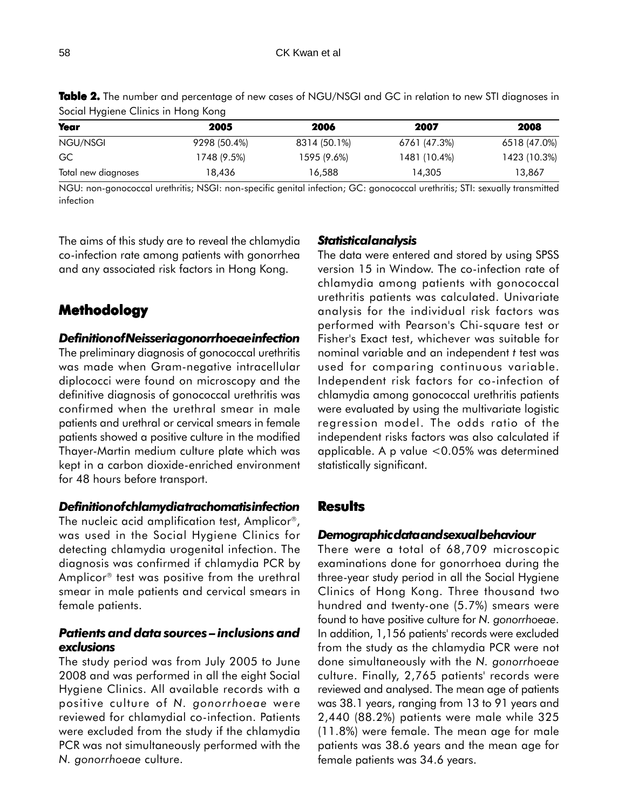| Year                | 2005         | 2006         | 2007         | 2008         |
|---------------------|--------------|--------------|--------------|--------------|
| NGU/NSGI            | 9298 (50.4%) | 8314 (50.1%) | 6761 (47.3%) | 6518 (47.0%) |
| GC                  | 1748 (9.5%)  | 1595 (9.6%)  | 1481 (10.4%) | 1423 (10.3%) |
| Total new diagnoses | 18,436       | 16,588       | 14,305       | 13,867       |

**Table 2.** The number and percentage of new cases of NGU/NSGI and GC in relation to new STI diagnoses in Social Hygiene Clinics in Hong Kong

NGU: non-gonococcal urethritis; NSGI: non-specific genital infection; GC: gonococcal urethritis; STI: sexually transmitted infection

The aims of this study are to reveal the chlamydia co-infection rate among patients with gonorrhea and any associated risk factors in Hong Kong.

# **Methodology**

## *Definition of Neisseria gonorrhoeae infection*

The preliminary diagnosis of gonococcal urethritis was made when Gram-negative intracellular diplococci were found on microscopy and the definitive diagnosis of gonococcal urethritis was confirmed when the urethral smear in male patients and urethral or cervical smears in female patients showed a positive culture in the modified Thayer-Martin medium culture plate which was kept in a carbon dioxide-enriched environment for 48 hours before transport.

### *Definition of chlamydia trachomatis infection*

The nucleic acid amplification test, Amplicor®, was used in the Social Hygiene Clinics for detecting chlamydia urogenital infection. The diagnosis was confirmed if chlamydia PCR by Amplicor<sup>®</sup> test was positive from the urethral smear in male patients and cervical smears in female patients.

## *Patients and data sources – inclusions and exclusions*

The study period was from July 2005 to June 2008 and was performed in all the eight Social Hygiene Clinics. All available records with a positive culture of *N. gonorrhoeae* were reviewed for chlamydial co-infection. Patients were excluded from the study if the chlamydia PCR was not simultaneously performed with the *N. gonorrhoeae* culture.

## *Statistical analysis*

The data were entered and stored by using SPSS version 15 in Window. The co-infection rate of chlamydia among patients with gonococcal urethritis patients was calculated. Univariate analysis for the individual risk factors was performed with Pearson's Chi-square test or Fisher's Exact test, whichever was suitable for nominal variable and an independent *t* test was used for comparing continuous variable. Independent risk factors for co-infection of chlamydia among gonococcal urethritis patients were evaluated by using the multivariate logistic regression model. The odds ratio of the independent risks factors was also calculated if applicable. A p value <0.05% was determined statistically significant.

## **Results**

## *Demographic data and sexual behaviour*

There were a total of 68,709 microscopic examinations done for gonorrhoea during the three-year study period in all the Social Hygiene Clinics of Hong Kong. Three thousand two hundred and twenty-one (5.7%) smears were found to have positive culture for *N. gonorrhoeae*. In addition, 1,156 patients' records were excluded from the study as the chlamydia PCR were not done simultaneously with the *N. gonorrhoeae* culture. Finally, 2,765 patients' records were reviewed and analysed. The mean age of patients was 38.1 years, ranging from 13 to 91 years and 2,440 (88.2%) patients were male while 325 (11.8%) were female. The mean age for male patients was 38.6 years and the mean age for female patients was 34.6 years.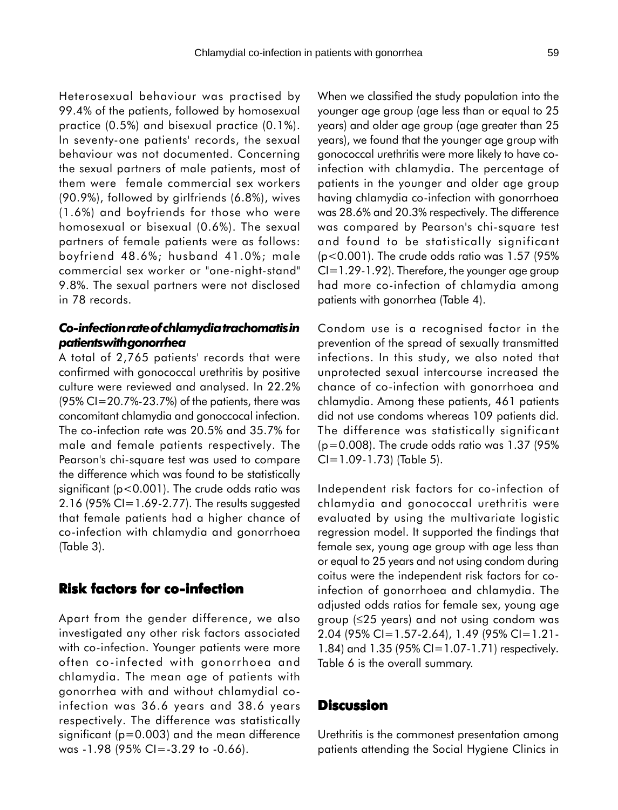Heterosexual behaviour was practised by 99.4% of the patients, followed by homosexual practice (0.5%) and bisexual practice (0.1%). In seventy-one patients' records, the sexual behaviour was not documented. Concerning the sexual partners of male patients, most of them were female commercial sex workers (90.9%), followed by girlfriends (6.8%), wives (1.6%) and boyfriends for those who were homosexual or bisexual (0.6%). The sexual partners of female patients were as follows: boyfriend 48.6%; husband 41.0%; male commercial sex worker or "one-night-stand" 9.8%. The sexual partners were not disclosed in 78 records.

## *Co-infection rate of chlamydia trachomatis in patients with gonorrhea*

A total of 2,765 patients' records that were confirmed with gonococcal urethritis by positive culture were reviewed and analysed. In 22.2% (95% CI=20.7%-23.7%) of the patients, there was concomitant chlamydia and gonoccocal infection. The co-infection rate was 20.5% and 35.7% for male and female patients respectively. The Pearson's chi-square test was used to compare the difference which was found to be statistically significant (p<0.001). The crude odds ratio was 2.16 (95% CI=1.69-2.77). The results suggested that female patients had a higher chance of co-infection with chlamydia and gonorrhoea (Table 3).

# **Risk factors for co-infection**

Apart from the gender difference, we also investigated any other risk factors associated with co-infection. Younger patients were more often co-infected with gonorrhoea and chlamydia. The mean age of patients with gonorrhea with and without chlamydial coinfection was 36.6 years and 38.6 years respectively. The difference was statistically significant (p=0.003) and the mean difference was -1.98 (95% CI=-3.29 to -0.66).

When we classified the study population into the younger age group (age less than or equal to 25 years) and older age group (age greater than 25 years), we found that the younger age group with gonococcal urethritis were more likely to have coinfection with chlamydia. The percentage of patients in the younger and older age group having chlamydia co-infection with gonorrhoea was 28.6% and 20.3% respectively. The difference was compared by Pearson's chi-square test and found to be statistically significant (p<0.001). The crude odds ratio was 1.57 (95%  $Cl = 1.29 - 1.92$ ). Therefore, the younger age group had more co-infection of chlamydia among patients with gonorrhea (Table 4).

Condom use is a recognised factor in the prevention of the spread of sexually transmitted infections. In this study, we also noted that unprotected sexual intercourse increased the chance of co-infection with gonorrhoea and chlamydia. Among these patients, 461 patients did not use condoms whereas 109 patients did. The difference was statistically significant  $(p=0.008)$ . The crude odds ratio was 1.37 (95%)  $Cl = 1.09 - 1.73$  (Table 5).

Independent risk factors for co-infection of chlamydia and gonococcal urethritis were evaluated by using the multivariate logistic regression model. It supported the findings that female sex, young age group with age less than or equal to 25 years and not using condom during coitus were the independent risk factors for coinfection of gonorrhoea and chlamydia. The adjusted odds ratios for female sex, young age group (≤25 years) and not using condom was 2.04 (95% CI=1.57-2.64), 1.49 (95% CI=1.21- 1.84) and 1.35 (95% CI=1.07-1.71) respectively. Table 6 is the overall summary.

## **Discussion**

Urethritis is the commonest presentation among patients attending the Social Hygiene Clinics in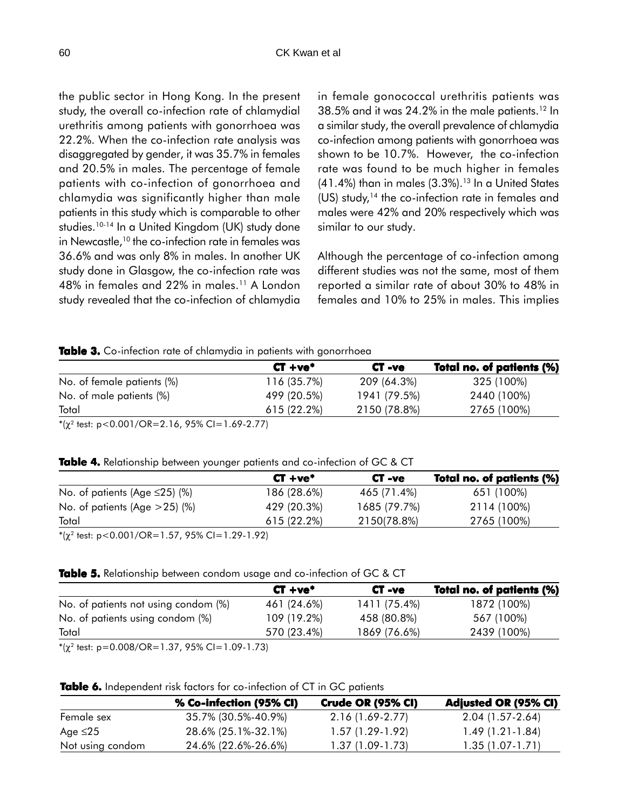the public sector in Hong Kong. In the present study, the overall co-infection rate of chlamydial urethritis among patients with gonorrhoea was 22.2%. When the co-infection rate analysis was disaggregated by gender, it was 35.7% in females and 20.5% in males. The percentage of female patients with co-infection of gonorrhoea and chlamydia was significantly higher than male patients in this study which is comparable to other studies.<sup>10-14</sup> In a United Kingdom (UK) study done in Newcastle,<sup>10</sup> the co-infection rate in females was 36.6% and was only 8% in males. In another UK study done in Glasgow, the co-infection rate was 48% in females and 22% in males.11 A London study revealed that the co-infection of chlamydia in female gonococcal urethritis patients was 38.5% and it was 24.2% in the male patients.12 In a similar study, the overall prevalence of chlamydia co-infection among patients with gonorrhoea was shown to be 10.7%. However, the co-infection rate was found to be much higher in females  $(41.4\%)$  than in males  $(3.3\%)$ .<sup>13</sup> In a United States  $(US)$  study,<sup>14</sup> the co-infection rate in females and males were 42% and 20% respectively which was similar to our study.

Although the percentage of co-infection among different studies was not the same, most of them reported a similar rate of about 30% to 48% in females and 10% to 25% in males. This implies

#### **Table 3.** Co-infection rate of chlamydia in patients with gonorrhoea

| $CT + ve^*$ | CT-ve        | Total no. of patients (%) |
|-------------|--------------|---------------------------|
| 116 (35.7%) | 209 (64.3%)  | 325 (100%)                |
| 499 (20.5%) | 1941 (79.5%) | 2440 (100%)               |
| 615 (22.2%) | 2150 (78.8%) | 2765 (100%)               |
|             |              |                           |

 $*(\chi^2 \text{ test: } p < 0.001/\text{OR} = 2.16, 95\% \text{ CI} = 1.69 - 2.77)$ 

#### **Table 4.** Relationship between younger patients and co-infection of GC & CT

|                                     | $CT + ve^*$ | CT-ve        | Total no. of patients (%) |
|-------------------------------------|-------------|--------------|---------------------------|
| No. of patients (Age $\leq$ 25) (%) | 186 (28.6%) | 465 (71.4%)  | 651 (100%)                |
| No. of patients (Age $>25$ ) (%)    | 429 (20.3%) | 1685 (79.7%) | 2114 (100%)               |
| Total                               | 615 (22.2%) | 2150(78.8%)  | 2765 (100%)               |
|                                     |             |              |                           |

 $*(\chi^2 \text{ test: p<0.001/OR=1.57, 95\% CI=1.29-1.92})$ 

| $CT + ve^*$ | CT-ve        | Total no. of patients (%) |
|-------------|--------------|---------------------------|
| 461 (24.6%) | 1411 (75.4%) | 1872 (100%)               |
| 109 (19.2%) | 458 (80.8%)  | 567 (100%)                |
| 570 (23.4%) | 1869 (76.6%) | 2439 (100%)               |
|             |              |                           |

 $*(\chi^2 \text{ test: p=0.008/OR=1.37, 95\% CI=1.09-1.73})$ 

#### Table 6. Independent risk factors for co-infection of CT in GC patients

|                  | % Co-infection (95% CI) | <b>Crude OR (95% CI)</b> | <b>Adjusted OR (95% CI)</b> |
|------------------|-------------------------|--------------------------|-----------------------------|
| Female sex       | 35.7% (30.5%-40.9%)     | $2.16(1.69-2.77)$        | $2.04(1.57-2.64)$           |
| Age ≤25          | 28.6% (25.1%-32.1%)     | $1.57(1.29-1.92)$        | $1.49(1.21-1.84)$           |
| Not using condom | 24.6% (22.6%-26.6%)     | 1.37 (1.09-1.73)         | 1.35 (1.07-1.71)            |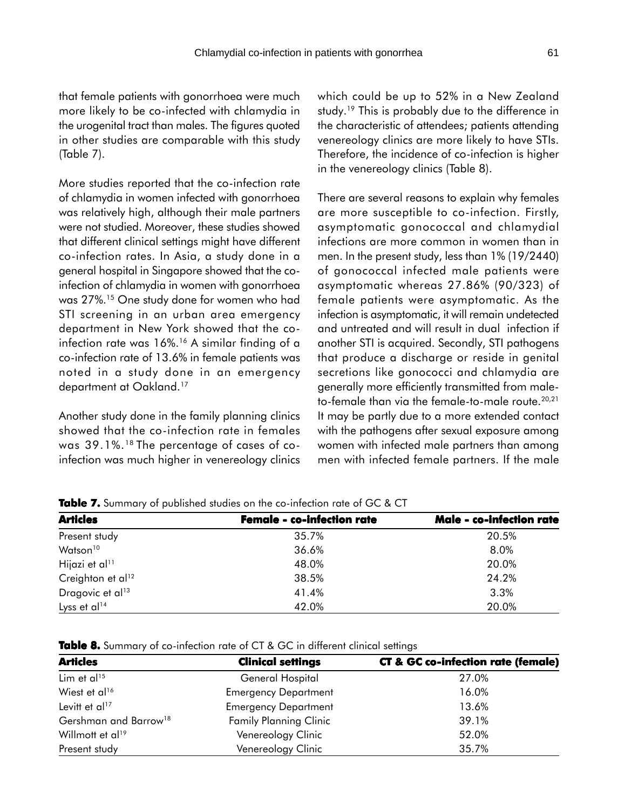that female patients with gonorrhoea were much more likely to be co-infected with chlamydia in the urogenital tract than males. The figures quoted in other studies are comparable with this study (Table 7).

More studies reported that the co-infection rate of chlamydia in women infected with gonorrhoea was relatively high, although their male partners were not studied. Moreover, these studies showed that different clinical settings might have different co-infection rates. In Asia, a study done in a general hospital in Singapore showed that the coinfection of chlamydia in women with gonorrhoea was 27%.15 One study done for women who had STI screening in an urban area emergency department in New York showed that the coinfection rate was 16%.<sup>16</sup> A similar finding of a co-infection rate of 13.6% in female patients was noted in a study done in an emergency department at Oakland.<sup>17</sup>

Another study done in the family planning clinics showed that the co-infection rate in females was 39.1%.18 The percentage of cases of coinfection was much higher in venereology clinics which could be up to 52% in a New Zealand study.<sup>19</sup> This is probably due to the difference in the characteristic of attendees; patients attending venereology clinics are more likely to have STIs. Therefore, the incidence of co-infection is higher in the venereology clinics (Table 8).

There are several reasons to explain why females are more susceptible to co-infection. Firstly, asymptomatic gonococcal and chlamydial infections are more common in women than in men. In the present study, less than 1% (19/2440) of gonococcal infected male patients were asymptomatic whereas 27.86% (90/323) of female patients were asymptomatic. As the infection is asymptomatic, it will remain undetected and untreated and will result in dual infection if another STI is acquired. Secondly, STI pathogens that produce a discharge or reside in genital secretions like gonococci and chlamydia are generally more efficiently transmitted from maleto-female than via the female-to-male route.<sup>20,21</sup> It may be partly due to a more extended contact with the pathogens after sexual exposure among women with infected male partners than among men with infected female partners. If the male

| <b>Articles</b>               | <b>Female - co-infection rate</b> | Male - co-infection rate |
|-------------------------------|-----------------------------------|--------------------------|
| Present study                 | 35.7%                             | 20.5%                    |
| Watson <sup>10</sup>          | 36.6%                             | 8.0%                     |
| Hijazi et al <sup>11</sup>    | 48.0%                             | 20.0%                    |
| Creighton et al <sup>12</sup> | 38.5%                             | 24.2%                    |
| Dragovic et al <sup>13</sup>  | 41.4%                             | 3.3%                     |
| Lyss et al <sup>14</sup>      | 42.0%                             | 20.0%                    |

**Table 7.** Summary of published studies on the co-infection rate of GC & CT

| <b>Table 8.</b> Summary of co-infection rate of CT & GC in different clinical settings |  |
|----------------------------------------------------------------------------------------|--|
|----------------------------------------------------------------------------------------|--|

| <b>Articles</b>                   | <b>Clinical settings</b>      | <b>CT &amp; GC co-infection rate (female)</b> |
|-----------------------------------|-------------------------------|-----------------------------------------------|
| Lim et al <sup>15</sup>           | General Hospital              | 27.0%                                         |
| Wiest et al <sup>16</sup>         | <b>Emergency Department</b>   | 16.0%                                         |
| Levitt et al <sup>17</sup>        | <b>Emergency Department</b>   | 13.6%                                         |
| Gershman and Barrow <sup>18</sup> | <b>Family Planning Clinic</b> | 39.1%                                         |
| Willmott et al <sup>19</sup>      | Venereology Clinic            | 52.0%                                         |
| Present study                     | Venereology Clinic            | 35.7%                                         |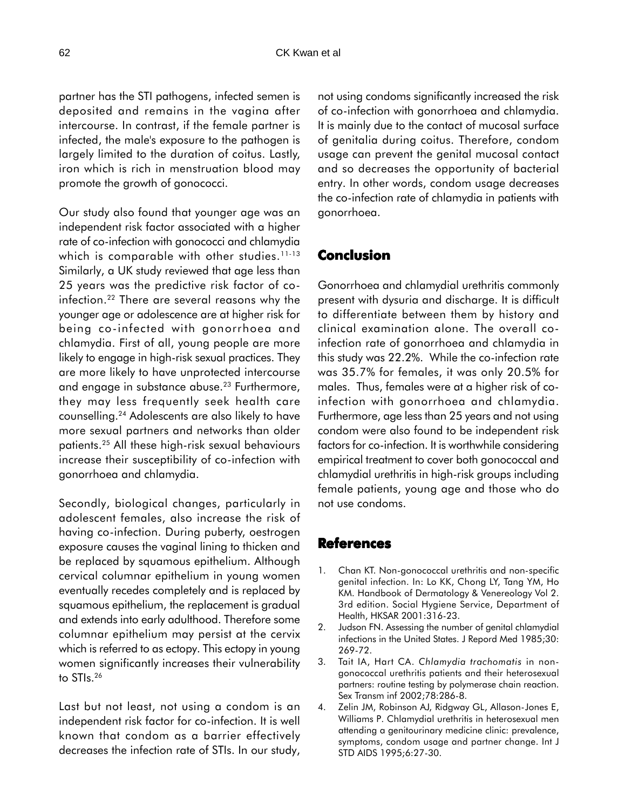partner has the STI pathogens, infected semen is deposited and remains in the vagina after intercourse. In contrast, if the female partner is infected, the male's exposure to the pathogen is largely limited to the duration of coitus. Lastly, iron which is rich in menstruation blood may promote the growth of gonococci.

Our study also found that younger age was an independent risk factor associated with a higher rate of co-infection with gonococci and chlamydia which is comparable with other studies.  $11-13$ Similarly, a UK study reviewed that age less than 25 years was the predictive risk factor of coinfection.22 There are several reasons why the younger age or adolescence are at higher risk for being co-infected with gonorrhoea and chlamydia. First of all, young people are more likely to engage in high-risk sexual practices. They are more likely to have unprotected intercourse and engage in substance abuse.<sup>23</sup> Furthermore, they may less frequently seek health care counselling.24 Adolescents are also likely to have more sexual partners and networks than older patients.25 All these high-risk sexual behaviours increase their susceptibility of co-infection with gonorrhoea and chlamydia.

Secondly, biological changes, particularly in adolescent females, also increase the risk of having co-infection. During puberty, oestrogen exposure causes the vaginal lining to thicken and be replaced by squamous epithelium. Although cervical columnar epithelium in young women eventually recedes completely and is replaced by squamous epithelium, the replacement is gradual and extends into early adulthood. Therefore some columnar epithelium may persist at the cervix which is referred to as ectopy. This ectopy in young women significantly increases their vulnerability to STIs.26

Last but not least, not using a condom is an independent risk factor for co-infection. It is well known that condom as a barrier effectively decreases the infection rate of STIs. In our study,

not using condoms significantly increased the risk of co-infection with gonorrhoea and chlamydia. It is mainly due to the contact of mucosal surface of genitalia during coitus. Therefore, condom usage can prevent the genital mucosal contact and so decreases the opportunity of bacterial entry. In other words, condom usage decreases the co-infection rate of chlamydia in patients with gonorrhoea.

# **Conclusion**

Gonorrhoea and chlamydial urethritis commonly present with dysuria and discharge. It is difficult to differentiate between them by history and clinical examination alone. The overall coinfection rate of gonorrhoea and chlamydia in this study was 22.2%. While the co-infection rate was 35.7% for females, it was only 20.5% for males. Thus, females were at a higher risk of coinfection with gonorrhoea and chlamydia. Furthermore, age less than 25 years and not using condom were also found to be independent risk factors for co-infection. It is worthwhile considering empirical treatment to cover both gonococcal and chlamydial urethritis in high-risk groups including female patients, young age and those who do not use condoms.

## **References**

- 1. Chan KT. Non-gonococcal urethritis and non-specific genital infection. In: Lo KK, Chong LY, Tang YM, Ho KM. Handbook of Dermatology & Venereology Vol 2. 3rd edition. Social Hygiene Service, Department of Health, HKSAR 2001:316-23.
- 2. Judson FN. Assessing the number of genital chlamydial infections in the United States. J Repord Med 1985;30: 269-72.
- 3. Tait IA, Hart CA. *Chlamydia trachomatis* in nongonococcal urethritis patients and their heterosexual partners: routine testing by polymerase chain reaction. Sex Transm inf 2002;78:286-8.
- 4. Zelin JM, Robinson AJ, Ridgway GL, Allason-Jones E, Williams P. Chlamydial urethritis in heterosexual men attending a genitourinary medicine clinic: prevalence, symptoms, condom usage and partner change. Int J STD AIDS 1995;6:27-30.